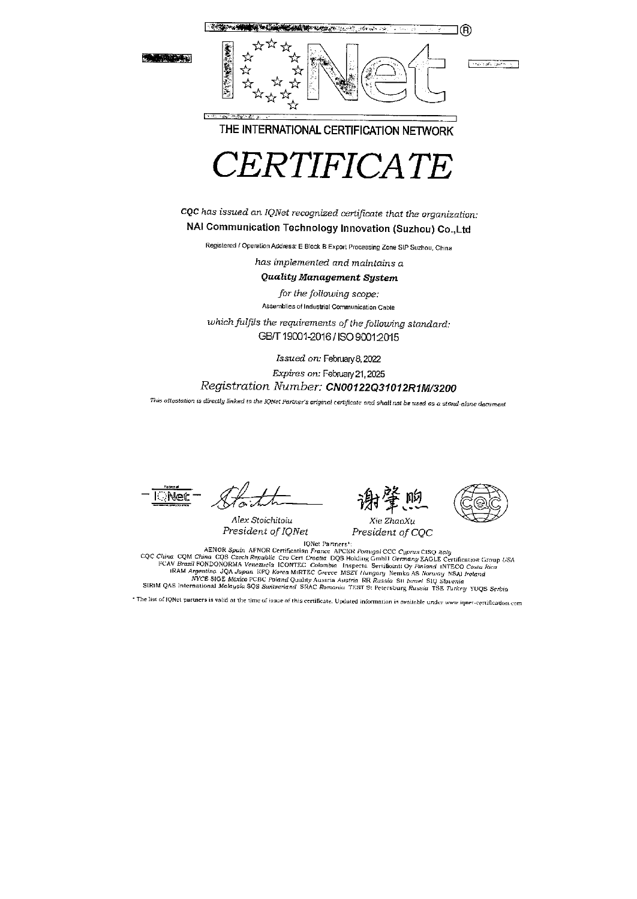**Land Star** 



THE INTERNATIONAL CERTIFICATION NETWORK



CQC has issued an IQNet recognized certificate that the organization: NAI Communication Technology Innovation (Suzhou) Co., Ltd

Registered / Operation Address; E Block B Export Processing Zone SIP Suzhou, China

has implemented and maintains a

**Quality Management System** 

for the following scope: Assemblies of Industrial Communication Cable

which fulfils the requirements of the following standard: GB/T 19001-2016 / ISO 9001:2015

Issued on: February 8, 2022

Expires on: February 21, 2025 Registration Number: CN00122Q31012R1M/3200

This attestation is directly linked to the IQNet Partner's original certificate and shall nat be used as a stand-alone dacument

::Net

Alex Stoichitoiu President of IQNet





Xie ZhaoXu President of CQC

IQNet Paraners\*: IQNet Parners<sup>+</sup>:<br>CQC China CQM China CQS Czech Republic Cro Cert Creating Parners<sup>+</sup>:<br>CQC China CQS Czech Republic Cro Cert Creating DQS Holding Gmb11 Germany EAGLE Certification Group USA<br>FCAV Brazil FONDONORMA Venezuela

\* The list of IQNet partners is valid at the time of issue of this certificate. Updated information is available under www.iqner-certification.com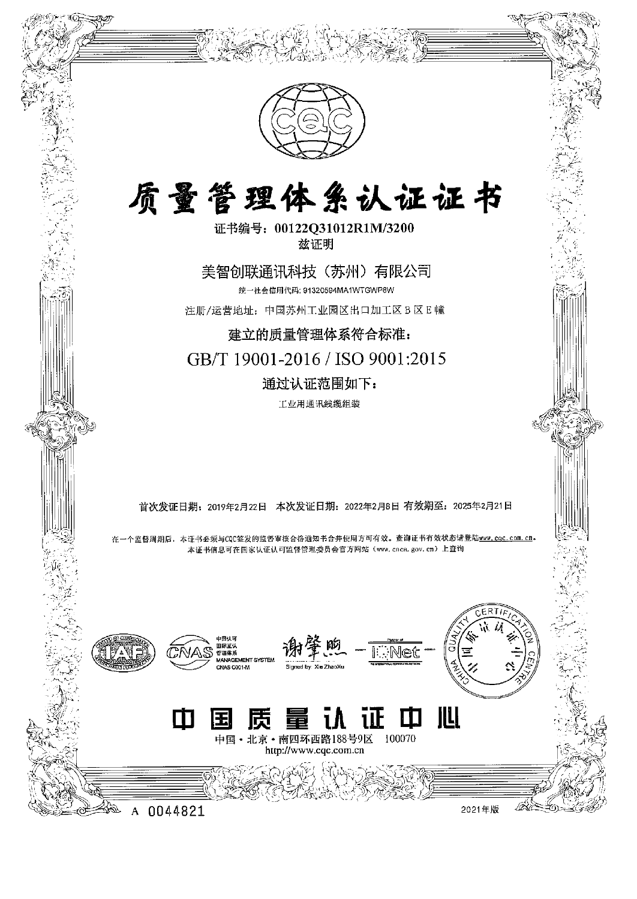

 $\begin{picture}(180,170) \put(0,0){\line(1,0){155}} \put(10,0){\line(1,0){155}} \put(10,0){\line(1,0){155}} \put(10,0){\line(1,0){155}} \put(10,0){\line(1,0){155}} \put(10,0){\line(1,0){155}} \put(10,0){\line(1,0){155}} \put(10,0){\line(1,0){155}} \put(10,0){\line(1,0){155}} \put(10,0){\line(1,0){155}} \put(10,0){\line(1,0){155$ 

 $\widehat{\mathscr{F}}$ 

# 质量管理体系认证证书

证书编号:00122Q31012R1M/3200 兹证明

岁介 美智创联通讯科技(苏州)有限公司 统一社会信用代码: 91320594MA1WTGWP8W 注册/运营地址:中国苏州工业园区出口加工区 3 E 幢

建立的质量管理体系符合标准: GB/T 19001-2016 / Iso 9001:2015 通过认证范围如下:

工业用通讯线缆组装

首次发证日期: 2019年2月22日 本次发证日期: 2022年2月8日 有效期至: 2025年2月21日

在一个监督周期后,本证书必须与CQC签发的监督审核合格通知书合并使用方可有效。查询证书有效状态请登陆www.cqc.com.cn。 本证书信息可在国家认证认可监督管理委员会官方网站(www.cnca.gov.cn)上查询 卜价牡.刀 一愁年'

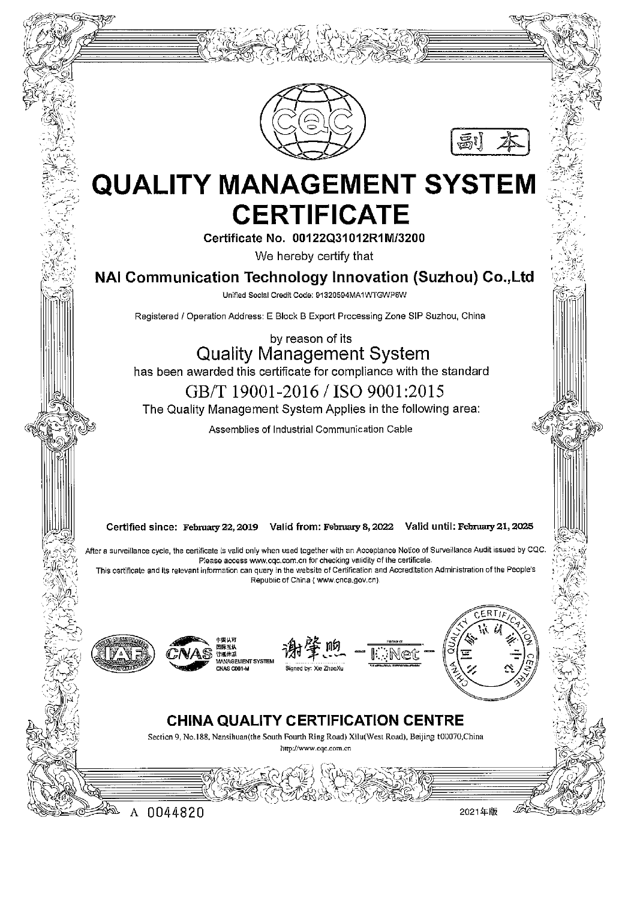



## **QUALITY MANAGEMENT SYSTEM CERTIFICATE**

Certificate No. 00122Q31012R1M/3200

We hereby certify that

NAI Communication Technology Innovation (Suzhou) Co., Ltd

Unified Social Credit Code: 91320594MA1WTGWP8W

Registered / Operation Address: E Block B Export Processing Zone SIP Suzhou, China

by reason of its **Quality Management System** has been awarded this certificate for compliance with the standard GB/T 19001-2016 / ISO 9001:2015

The Quality Management System Applies in the following area:

Assemblies of Industrial Communication Cable

Certified since: February 22, 2019 Valid from: February 8, 2022 Valid until: February 21, 2025

After a surveillance cycle, the certificate is valid only when used together with an Acceptance Notice of Surveillance Audit issued by CQC. Please access www.cqc.com.cn for checking validity of the certificate. This certificate and its relevant information can query in the website of Certification and Accreditation Administration of the People's Republic of China (www.cnca.gov.cn).





A 0044820







#### **CHINA QUALITY CERTIFICATION CENTRE**

Section 9, No.188, Nansihuan(the South Fourth Ring Road) Xilu(West Road), Beijing t00070, China http://www.cac.com.cn

2021年版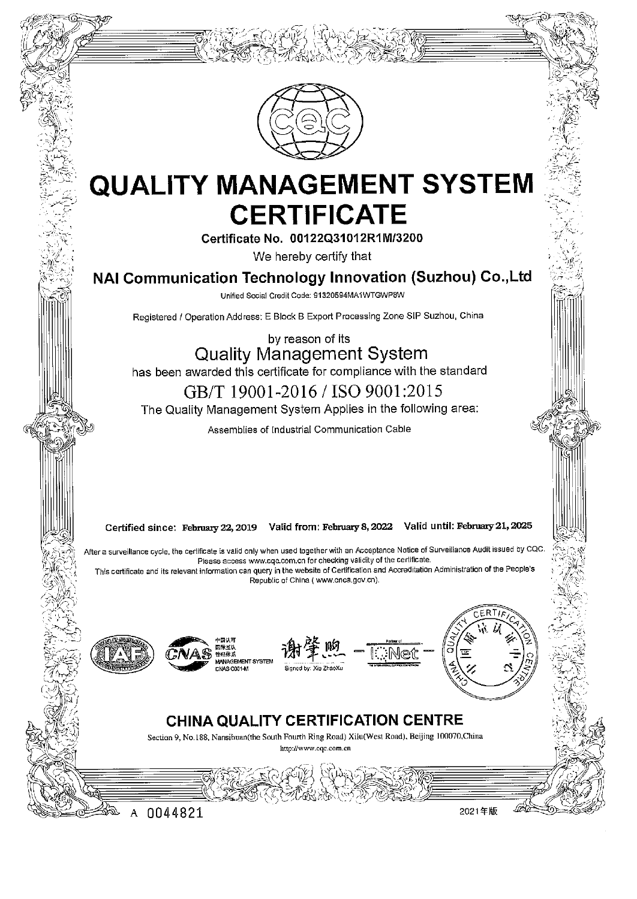

### **QUALITY MANAGEMENT SYSTEM CERTIFICATE**

Certificate No. 00122Q31012R1M/3200

We hereby certify that

NAI Communication Technology Innovation (Suzhou) Co., Ltd

Unified Social Credit Code: 91320594MA1WTGWP8W

Registered / Operation Address: E Block B Export Processing Zone SIP Suzhou, China

by reason of its **Quality Management System** has been awarded this certificate for compliance with the standard

GB/T 19001-2016 / ISO 9001:2015

The Quality Management System Applies in the following area:

Assemblies of Industrial Communication Cable

Certified since: February 22, 2019 Valid from: February 8, 2022 Valid until: February 21, 2025

After a surveillance cycle, the certificate is valid only when used together with an Acceptance Notice of Surveillance Audit issued by CQC. Please access www.cqc.com.cn for checking validity of the certificate. This certificate and its relevant information can query in the website of Certification and Accreditation Administration of the People's Republic of China ( www.cnca.gov.cn).



A









#### CHINA QUALITY CERTIFICATION CENTRE

Section 9, No.188, Nansibuan(the South Fourth Ring Road) Xilu(West Road), Beijing 100070, China

http://www.cgc.com.cn

0044821

2021年版